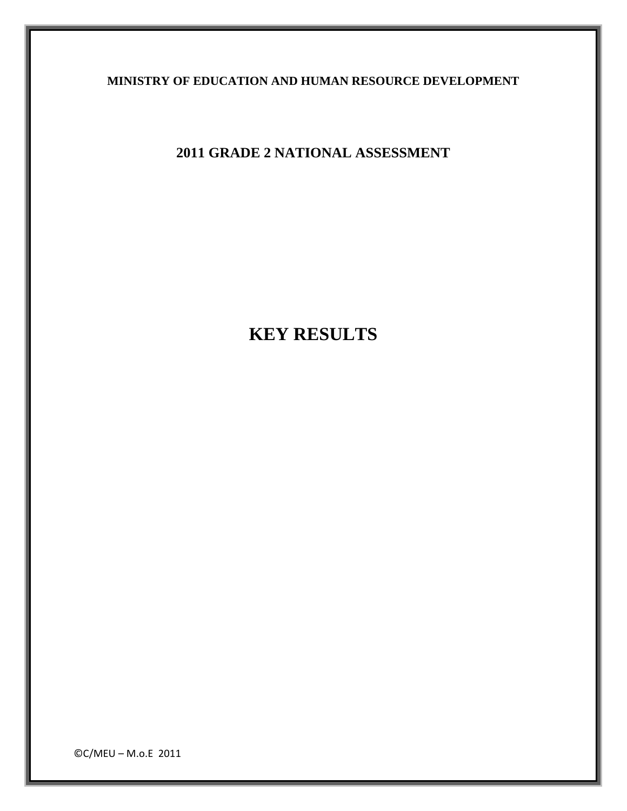**MINISTRY OF EDUCATION AND HUMAN RESOURCE DEVELOPMENT** 

**2011 GRADE 2 NATIONAL ASSESSMENT** 

**KEY RESULTS** 

©C/MEU – M.o.E 2011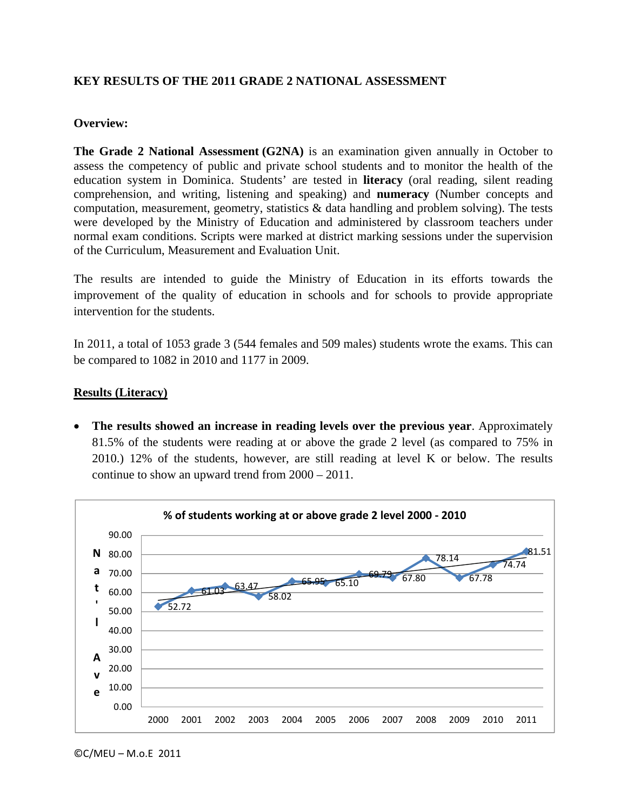## **KEY RESULTS OF THE 2011 GRADE 2 NATIONAL ASSESSMENT**

#### **Overview:**

**The Grade 2 National Assessment (G2NA)** is an examination given annually in October to assess the competency of public and private school students and to monitor the health of the education system in Dominica. Students' are tested in **literacy** (oral reading, silent reading comprehension, and writing, listening and speaking) and **numeracy** (Number concepts and computation, measurement, geometry, statistics  $\&$  data handling and problem solving). The tests were developed by the Ministry of Education and administered by classroom teachers under normal exam conditions. Scripts were marked at district marking sessions under the supervision of the Curriculum, Measurement and Evaluation Unit.

The results are intended to guide the Ministry of Education in its efforts towards the improvement of the quality of education in schools and for schools to provide appropriate intervention for the students.

In 2011, a total of 1053 grade 3 (544 females and 509 males) students wrote the exams. This can be compared to 1082 in 2010 and 1177 in 2009.

#### **Results (Literacy)**

• **The results showed an increase in reading levels over the previous year**. Approximately 81.5% of the students were reading at or above the grade 2 level (as compared to 75% in 2010.) 12% of the students, however, are still reading at level K or below. The results continue to show an upward trend from 2000 – 2011.

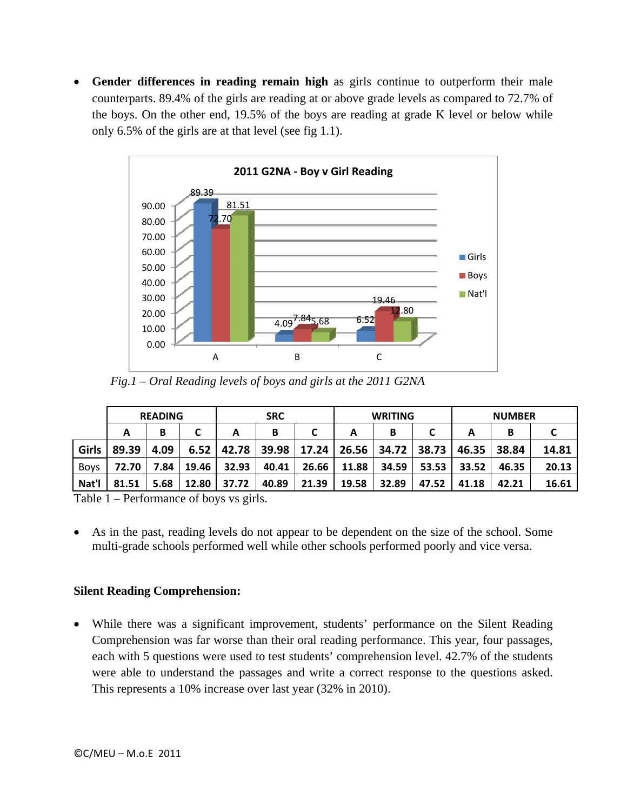• **Gender differences in reading remain high** as girls continue to outperform their male counterparts. 89.4% of the girls are reading at or above grade levels as compared to 72.7% of the boys. On the other end, 19.5% of the boys are reading at grade K level or below while only 6.5% of the girls are at that level (see fig 1.1).



 *Fig.1 – Oral Reading levels of boys and girls at the 2011 G2NA*

|             | <b>READING</b> |      |       | <b>SRC</b> |       |       | <b>WRITING</b> |       |       | <b>NUMBER</b> |       |       |
|-------------|----------------|------|-------|------------|-------|-------|----------------|-------|-------|---------------|-------|-------|
|             | А              | В    |       | А          | В     |       | А              | в     |       |               | В     |       |
| Girls       | 89.39          | 4.09 | 6.52  | 42.78      | 39.98 | 17.24 | 26.56          | 34.72 | 38.73 | 46.35         | 38.84 | 14.81 |
| <b>Boys</b> | 72.70          | 7.84 | 19.46 | 32.93      | 40.41 | 26.66 | 11.88          | 34.59 | 53.53 | 33.52         | 46.35 | 20.13 |
| Nat'l       | 81.51          | 5.68 | 12.80 | 37.72      | 40.89 | 21.39 | 19.58          | 32.89 | 47.52 | 41.18         | 42.21 | 16.61 |

Table 1 – Performance of boys vs girls.

• As in the past, reading levels do not appear to be dependent on the size of the school. Some multi-grade schools performed well while other schools performed poorly and vice versa.

# **Silent Reading Comprehension:**

While there was a significant improvement, students' performance on the Silent Reading Comprehension was far worse than their oral reading performance. This year, four passages, each with 5 questions were used to test students' comprehension level. 42.7% of the students were able to understand the passages and write a correct response to the questions asked. This represents a 10% increase over last year (32% in 2010).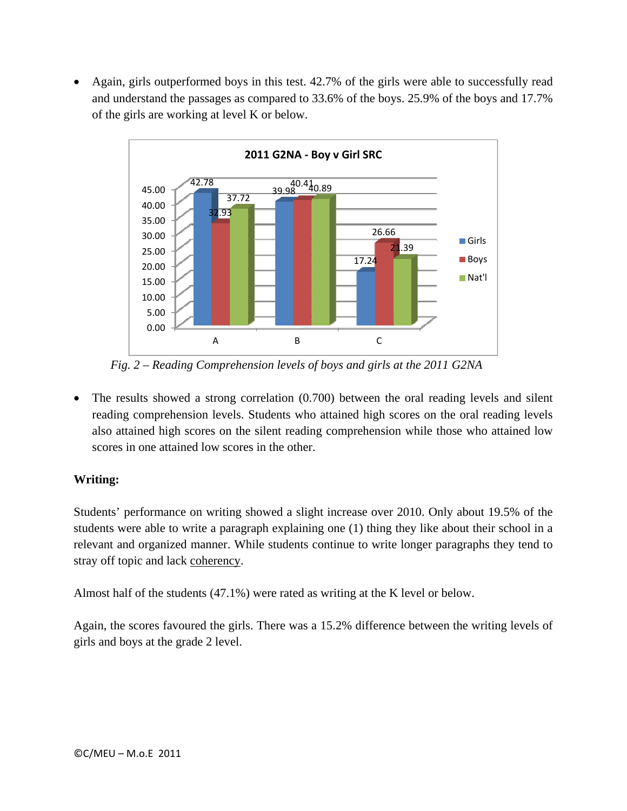• Again, girls outperformed boys in this test. 42.7% of the girls were able to successfully read and understand the passages as compared to 33.6% of the boys. 25.9% of the boys and 17.7% of the girls are working at level K or below.



 *Fig. 2 – Reading Comprehension levels of boys and girls at the 2011 G2NA*

• The results showed a strong correlation (0.700) between the oral reading levels and silent reading comprehension levels. Students who attained high scores on the oral reading levels also attained high scores on the silent reading comprehension while those who attained low scores in one attained low scores in the other.

# **Writing:**

Students' performance on writing showed a slight increase over 2010. Only about 19.5% of the students were able to write a paragraph explaining one (1) thing they like about their school in a relevant and organized manner. While students continue to write longer paragraphs they tend to stray off topic and lack coherency.

Almost half of the students (47.1%) were rated as writing at the K level or below.

Again, the scores favoured the girls. There was a 15.2% difference between the writing levels of girls and boys at the grade 2 level.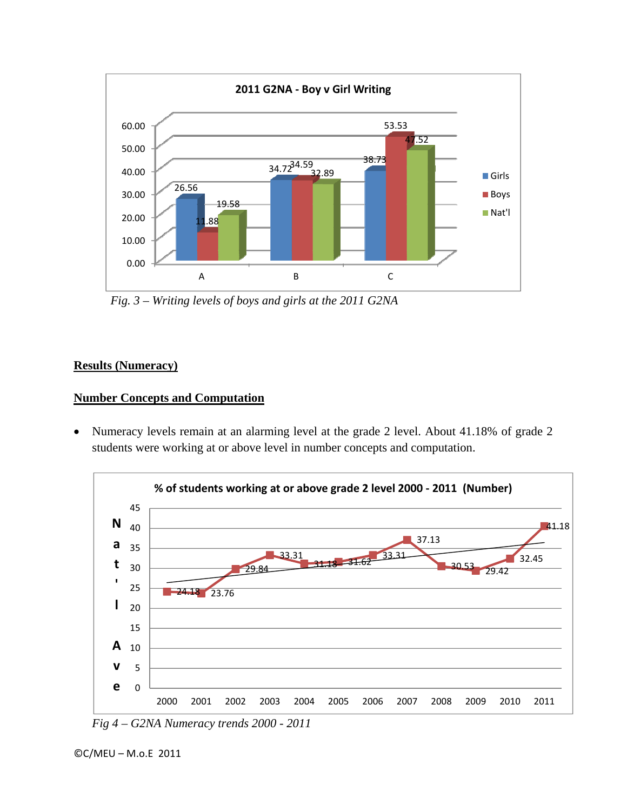

 *Fig. 3 – Writing levels of boys and girls at the 2011 G2NA*

# **Results (Numeracy)**

## **Number Concepts and Computation**

• Numeracy levels remain at an alarming level at the grade 2 level. About 41.18% of grade 2 students were working at or above level in number concepts and computation.



*Fig 4 – G2NA Numeracy trends 2000 - 2011*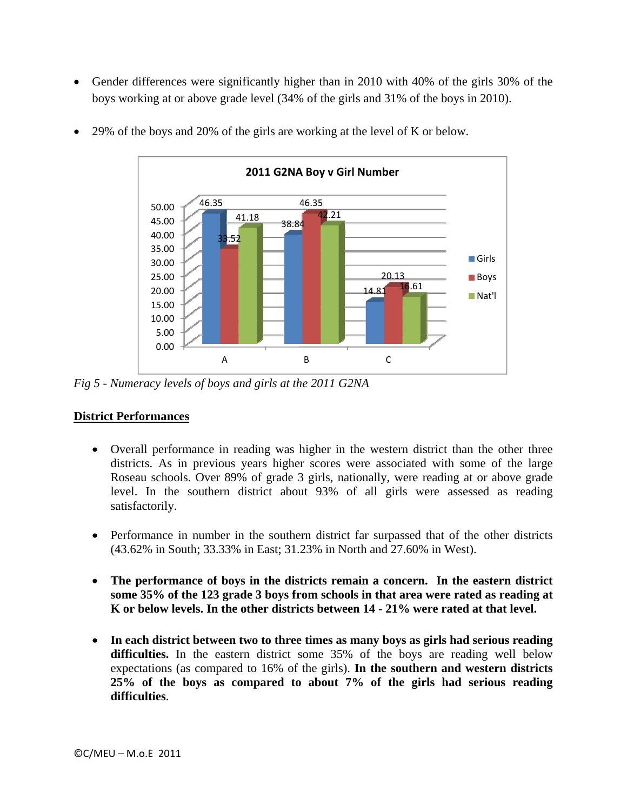• Gender differences were significantly higher than in 2010 with 40% of the girls 30% of the boys working at or above grade level (34% of the girls and 31% of the boys in 2010).



• 29% of the boys and 20% of the girls are working at the level of K or below.

*Fig 5 - Numeracy levels of boys and girls at the 2011 G2NA* 

# **District Performances**

- Overall performance in reading was higher in the western district than the other three districts. As in previous years higher scores were associated with some of the large Roseau schools. Over 89% of grade 3 girls, nationally, were reading at or above grade level. In the southern district about 93% of all girls were assessed as reading satisfactorily.
- Performance in number in the southern district far surpassed that of the other districts (43.62% in South; 33.33% in East; 31.23% in North and 27.60% in West).
- **The performance of boys in the districts remain a concern. In the eastern district some 35% of the 123 grade 3 boys from schools in that area were rated as reading at K or below levels. In the other districts between 14 - 21% were rated at that level.**
- **In each district between two to three times as many boys as girls had serious reading difficulties.** In the eastern district some 35% of the boys are reading well below expectations (as compared to 16% of the girls). **In the southern and western districts 25% of the boys as compared to about 7% of the girls had serious reading difficulties**.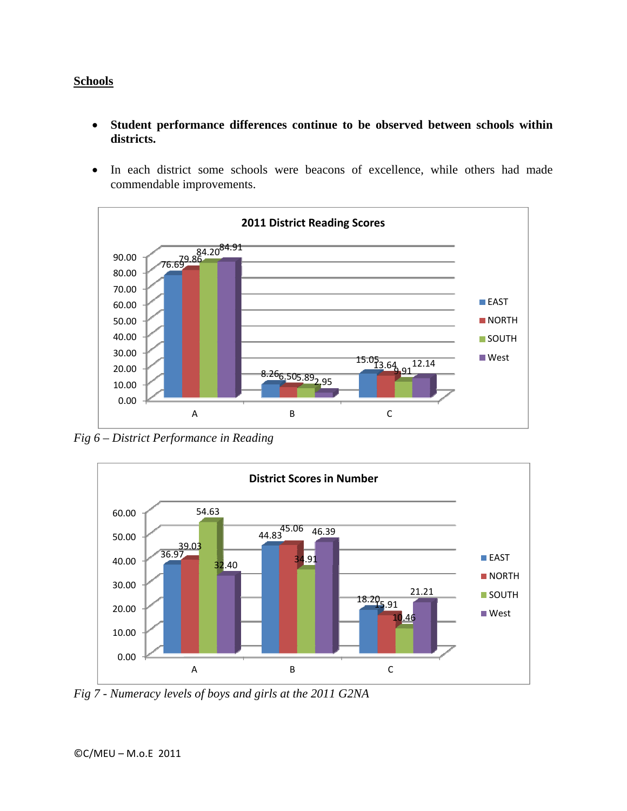## **Schools**

- **Student performance differences continue to be observed between schools within districts.**
- In each district some schools were beacons of excellence, while others had made commendable improvements.



*Fig 6 – District Performance in Reading* 



*Fig 7 - Numeracy levels of boys and girls at the 2011 G2NA*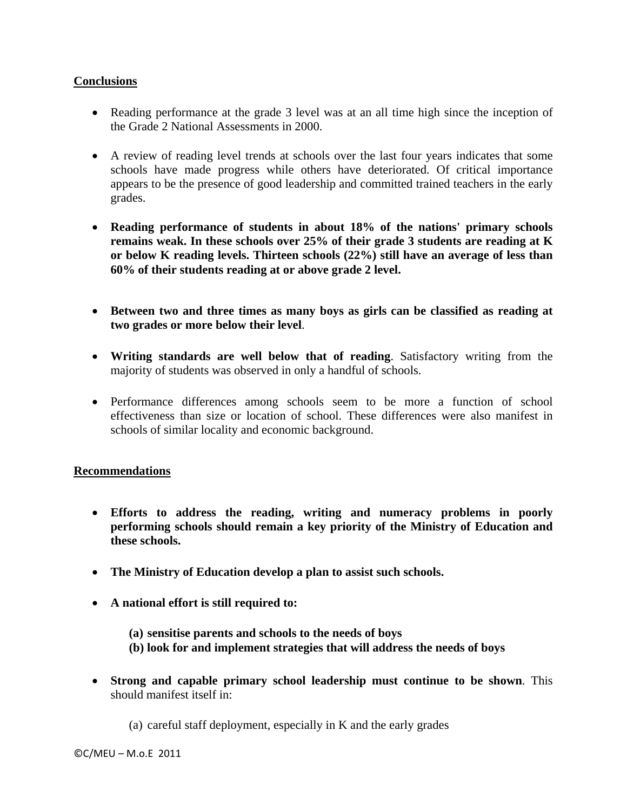## **Conclusions**

- Reading performance at the grade 3 level was at an all time high since the inception of the Grade 2 National Assessments in 2000.
- A review of reading level trends at schools over the last four years indicates that some schools have made progress while others have deteriorated. Of critical importance appears to be the presence of good leadership and committed trained teachers in the early grades.
- **Reading performance of students in about 18% of the nations' primary schools remains weak. In these schools over 25% of their grade 3 students are reading at K or below K reading levels. Thirteen schools (22%) still have an average of less than 60% of their students reading at or above grade 2 level.**
- **Between two and three times as many boys as girls can be classified as reading at two grades or more below their level**.
- **Writing standards are well below that of reading**. Satisfactory writing from the majority of students was observed in only a handful of schools.
- Performance differences among schools seem to be more a function of school effectiveness than size or location of school. These differences were also manifest in schools of similar locality and economic background.

#### **Recommendations**

- **Efforts to address the reading, writing and numeracy problems in poorly performing schools should remain a key priority of the Ministry of Education and these schools.**
- **The Ministry of Education develop a plan to assist such schools.**
- **A national effort is still required to:** 
	- **(a) sensitise parents and schools to the needs of boys**
	- **(b) look for and implement strategies that will address the needs of boys**
- **Strong and capable primary school leadership must continue to be shown**. This should manifest itself in:
	- (a) careful staff deployment, especially in K and the early grades